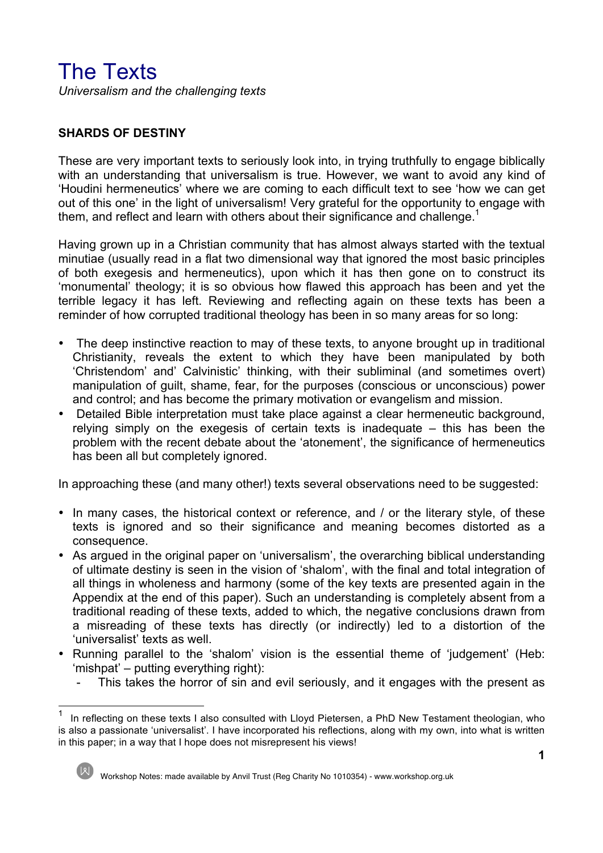# The Texts

*Universalism and the challenging texts*

# **SHARDS OF DESTINY**

These are very important texts to seriously look into, in trying truthfully to engage biblically with an understanding that universalism is true. However, we want to avoid any kind of 'Houdini hermeneutics' where we are coming to each difficult text to see 'how we can get out of this one' in the light of universalism! Very grateful for the opportunity to engage with them, and reflect and learn with others about their significance and challenge.<sup>1</sup>

Having grown up in a Christian community that has almost always started with the textual minutiae (usually read in a flat two dimensional way that ignored the most basic principles of both exegesis and hermeneutics), upon which it has then gone on to construct its 'monumental' theology; it is so obvious how flawed this approach has been and yet the terrible legacy it has left. Reviewing and reflecting again on these texts has been a reminder of how corrupted traditional theology has been in so many areas for so long:

- The deep instinctive reaction to may of these texts, to anyone brought up in traditional Christianity, reveals the extent to which they have been manipulated by both 'Christendom' and' Calvinistic' thinking, with their subliminal (and sometimes overt) manipulation of guilt, shame, fear, for the purposes (conscious or unconscious) power and control; and has become the primary motivation or evangelism and mission.
- Detailed Bible interpretation must take place against a clear hermeneutic background, relying simply on the exegesis of certain texts is inadequate – this has been the problem with the recent debate about the 'atonement', the significance of hermeneutics has been all but completely ignored.

In approaching these (and many other!) texts several observations need to be suggested:

- In many cases, the historical context or reference, and / or the literary style, of these texts is ignored and so their significance and meaning becomes distorted as a consequence.
- As argued in the original paper on 'universalism', the overarching biblical understanding of ultimate destiny is seen in the vision of 'shalom', with the final and total integration of all things in wholeness and harmony (some of the key texts are presented again in the Appendix at the end of this paper). Such an understanding is completely absent from a traditional reading of these texts, added to which, the negative conclusions drawn from a misreading of these texts has directly (or indirectly) led to a distortion of the 'universalist' texts as well.
- Running parallel to the 'shalom' vision is the essential theme of 'judgement' (Heb: 'mishpat' – putting everything right):
	- This takes the horror of sin and evil seriously, and it engages with the present as

1 In reflecting on these texts I also consulted with Lloyd Pietersen, a PhD New Testament theologian, who is also a passionate 'universalist'. I have incorporated his reflections, along with my own, into what is written in this paper; in a way that I hope does not misrepresent his views!

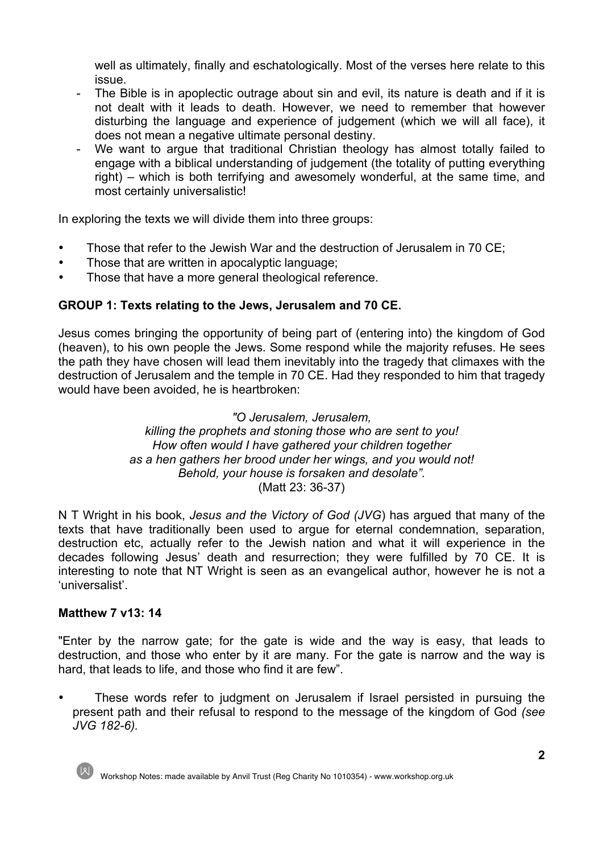well as ultimately, finally and eschatologically. Most of the verses here relate to this issue.

- The Bible is in apoplectic outrage about sin and evil, its nature is death and if it is not dealt with it leads to death. However, we need to remember that however disturbing the language and experience of judgement (which we will all face), it does not mean a negative ultimate personal destiny.
- We want to argue that traditional Christian theology has almost totally failed to engage with a biblical understanding of judgement (the totality of putting everything right) – which is both terrifying and awesomely wonderful, at the same time, and most certainly universalistic!

In exploring the texts we will divide them into three groups:

- Those that refer to the Jewish War and the destruction of Jerusalem in 70 CE;
- Those that are written in apocalyptic language:
- Those that have a more general theological reference.

# **GROUP 1: Texts relating to the Jews, Jerusalem and 70 CE.**

Jesus comes bringing the opportunity of being part of (entering into) the kingdom of God (heaven), to his own people the Jews. Some respond while the majority refuses. He sees the path they have chosen will lead them inevitably into the tragedy that climaxes with the destruction of Jerusalem and the temple in 70 CE. Had they responded to him that tragedy would have been avoided, he is heartbroken:

#### *"O Jerusalem, Jerusalem, killing the prophets and stoning those who are sent to you! How often would I have gathered your children together as a hen gathers her brood under her wings, and you would not! Behold, your house is forsaken and desolate".* (Matt 23: 36-37)

N T Wright in his book, *Jesus and the Victory of God (JVG*) has argued that many of the texts that have traditionally been used to argue for eternal condemnation, separation, destruction etc, actually refer to the Jewish nation and what it will experience in the decades following Jesus' death and resurrection; they were fulfilled by 70 CE. It is interesting to note that NT Wright is seen as an evangelical author, however he is not a 'universalist'.

# **Matthew 7 v13: 14**

"Enter by the narrow gate; for the gate is wide and the way is easy, that leads to destruction, and those who enter by it are many. For the gate is narrow and the way is hard, that leads to life, and those who find it are few".

These words refer to judgment on Jerusalem if Israel persisted in pursuing the present path and their refusal to respond to the message of the kingdom of God *(see JVG 182-6).*



Workshop Notes: made available by Anvil Trust (Reg Charity No 1010354) - www.workshop.org.uk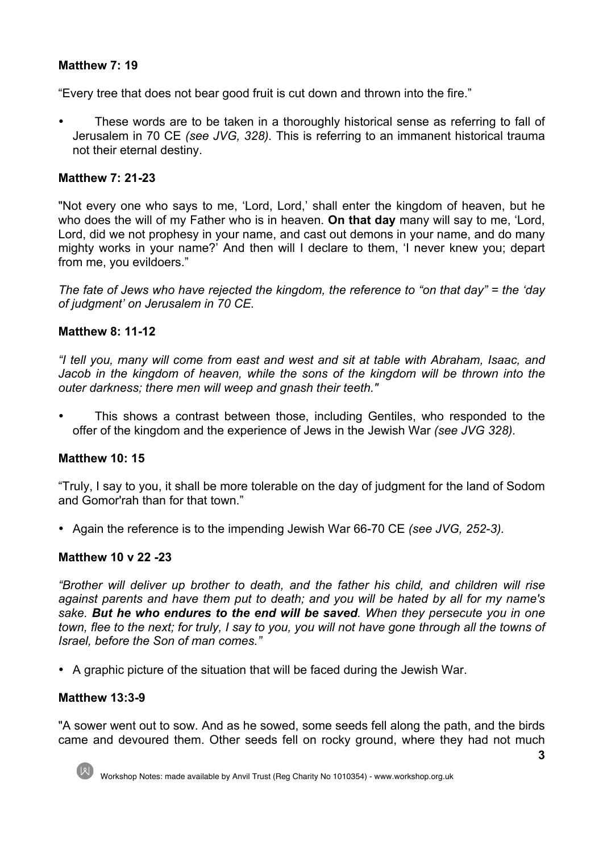# **Matthew 7: 19**

"Every tree that does not bear good fruit is cut down and thrown into the fire."

• These words are to be taken in a thoroughly historical sense as referring to fall of Jerusalem in 70 CE *(see JVG, 328).* This is referring to an immanent historical trauma not their eternal destiny.

## **Matthew 7: 21-23**

"Not every one who says to me, 'Lord, Lord,' shall enter the kingdom of heaven, but he who does the will of my Father who is in heaven. **On that day** many will say to me, 'Lord, Lord, did we not prophesy in your name, and cast out demons in your name, and do many mighty works in your name?' And then will I declare to them, 'I never knew you; depart from me, you evildoers."

*The fate of Jews who have rejected the kingdom, the reference to "on that day" = the 'day of judgment' on Jerusalem in 70 CE.*

## **Matthew 8: 11-12**

*"I tell you, many will come from east and west and sit at table with Abraham, Isaac, and*  Jacob in the kingdom of heaven, while the sons of the kingdom will be thrown into the *outer darkness; there men will weep and gnash their teeth."*

• This shows a contrast between those, including Gentiles, who responded to the offer of the kingdom and the experience of Jews in the Jewish War *(see JVG 328).*

# **Matthew 10: 15**

"Truly, I say to you, it shall be more tolerable on the day of judgment for the land of Sodom and Gomor'rah than for that town."

• Again the reference is to the impending Jewish War 66-70 CE *(see JVG, 252-3).*

# **Matthew 10 v 22 -23**

*"Brother will deliver up brother to death, and the father his child, and children will rise against parents and have them put to death; and you will be hated by all for my name's sake. But he who endures to the end will be saved. When they persecute you in one town, flee to the next; for truly, I say to you, you will not have gone through all the towns of Israel, before the Son of man comes."*

• A graphic picture of the situation that will be faced during the Jewish War.

#### **Matthew 13:3-9**

"A sower went out to sow. And as he sowed, some seeds fell along the path, and the birds came and devoured them. Other seeds fell on rocky ground, where they had not much

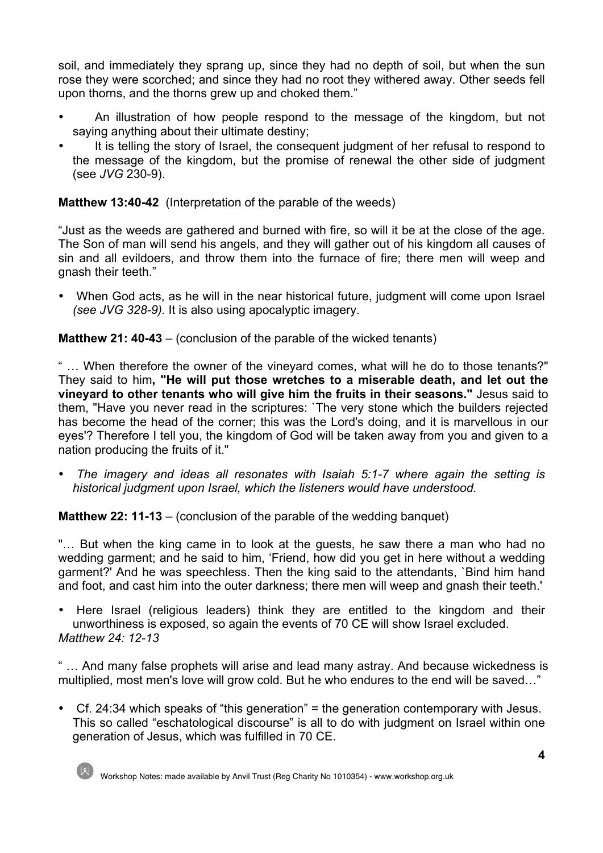soil, and immediately they sprang up, since they had no depth of soil, but when the sun rose they were scorched; and since they had no root they withered away. Other seeds fell upon thorns, and the thorns grew up and choked them."

- An illustration of how people respond to the message of the kingdom, but not saying anything about their ultimate destiny;
- It is telling the story of Israel, the consequent judgment of her refusal to respond to the message of the kingdom, but the promise of renewal the other side of judgment (see *JVG* 230-9).

# **Matthew 13:40-42** (Interpretation of the parable of the weeds)

"Just as the weeds are gathered and burned with fire, so will it be at the close of the age. The Son of man will send his angels, and they will gather out of his kingdom all causes of sin and all evildoers, and throw them into the furnace of fire; there men will weep and gnash their teeth."

• When God acts, as he will in the near historical future, judgment will come upon Israel *(see JVG 328-9).* It is also using apocalyptic imagery.

# **Matthew 21: 40-43** – (conclusion of the parable of the wicked tenants)

" … When therefore the owner of the vineyard comes, what will he do to those tenants?" They said to him**, "He will put those wretches to a miserable death, and let out the vineyard to other tenants who will give him the fruits in their seasons."** Jesus said to them, "Have you never read in the scriptures: `The very stone which the builders rejected has become the head of the corner; this was the Lord's doing, and it is marvellous in our eyes'? Therefore I tell you, the kingdom of God will be taken away from you and given to a nation producing the fruits of it."

• *The imagery and ideas all resonates with Isaiah 5:1-7 where again the setting is historical judgment upon Israel, which the listeners would have understood.*

**Matthew 22: 11-13** – (conclusion of the parable of the wedding banquet)

"… But when the king came in to look at the guests, he saw there a man who had no wedding garment; and he said to him, 'Friend, how did you get in here without a wedding garment?' And he was speechless. Then the king said to the attendants, `Bind him hand and foot, and cast him into the outer darkness; there men will weep and gnash their teeth.'

• Here Israel (religious leaders) think they are entitled to the kingdom and their unworthiness is exposed, so again the events of 70 CE will show Israel excluded. *Matthew 24: 12-13* 

" … And many false prophets will arise and lead many astray. And because wickedness is multiplied, most men's love will grow cold. But he who endures to the end will be saved…"

• Cf. 24:34 which speaks of "this generation" = the generation contemporary with Jesus. This so called "eschatological discourse" is all to do with judgment on Israel within one generation of Jesus, which was fulfilled in 70 CE.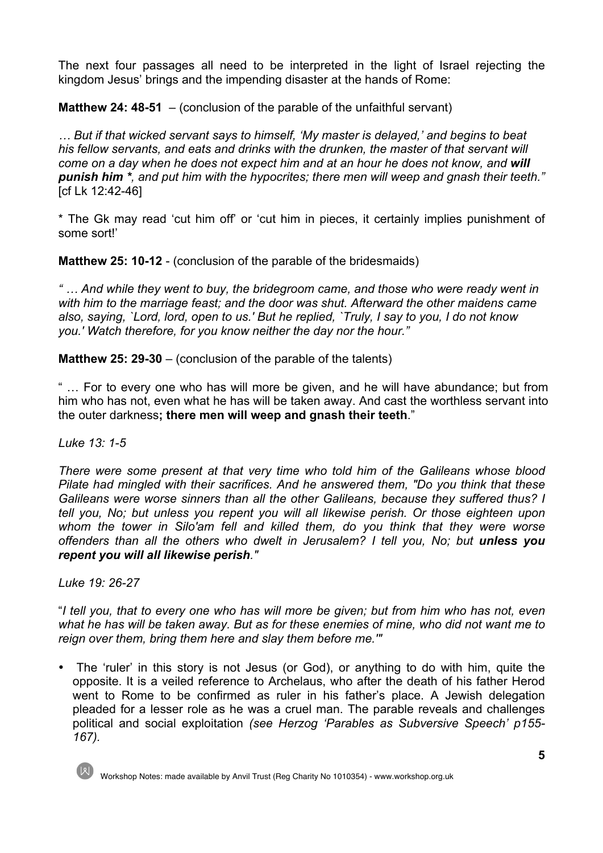The next four passages all need to be interpreted in the light of Israel rejecting the kingdom Jesus' brings and the impending disaster at the hands of Rome:

**Matthew 24: 48-51** – (conclusion of the parable of the unfaithful servant)

*… But if that wicked servant says to himself, 'My master is delayed,' and begins to beat his fellow servants, and eats and drinks with the drunken, the master of that servant will come on a day when he does not expect him and at an hour he does not know, and will punish him \*, and put him with the hypocrites; there men will weep and gnash their teeth."*  [cf Lk 12:42-46]

\* The Gk may read 'cut him off' or 'cut him in pieces, it certainly implies punishment of some sort!'

**Matthew 25: 10-12** - (conclusion of the parable of the bridesmaids)

*" … And while they went to buy, the bridegroom came, and those who were ready went in with him to the marriage feast; and the door was shut. Afterward the other maidens came also, saying, `Lord, lord, open to us.' But he replied, `Truly, I say to you, I do not know you.' Watch therefore, for you know neither the day nor the hour."*

**Matthew 25: 29-30** – (conclusion of the parable of the talents)

" … For to every one who has will more be given, and he will have abundance; but from him who has not, even what he has will be taken away. And cast the worthless servant into the outer darkness**; there men will weep and gnash their teeth**."

*Luke 13: 1-5* 

*There were some present at that very time who told him of the Galileans whose blood Pilate had mingled with their sacrifices. And he answered them, "Do you think that these Galileans were worse sinners than all the other Galileans, because they suffered thus? I tell you, No; but unless you repent you will all likewise perish. Or those eighteen upon whom the tower in Silo'am fell and killed them, do you think that they were worse offenders than all the others who dwelt in Jerusalem? I tell you, No; but unless you repent you will all likewise perish."*

*Luke 19: 26-27*

"*I tell you, that to every one who has will more be given; but from him who has not, even what he has will be taken away. But as for these enemies of mine, who did not want me to reign over them, bring them here and slay them before me.'"*

• The 'ruler' in this story is not Jesus (or God), or anything to do with him, quite the opposite. It is a veiled reference to Archelaus, who after the death of his father Herod went to Rome to be confirmed as ruler in his father's place. A Jewish delegation pleaded for a lesser role as he was a cruel man. The parable reveals and challenges political and social exploitation *(see Herzog 'Parables as Subversive Speech' p155- 167).*



Workshop Notes: made available by Anvil Trust (Reg Charity No 1010354) - www.workshop.org.uk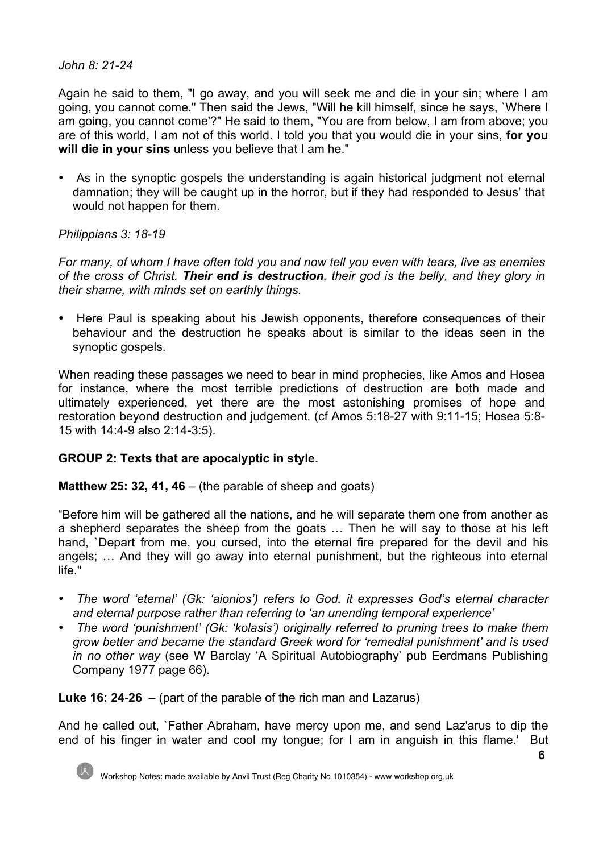#### *John 8: 21-24*

Again he said to them, "I go away, and you will seek me and die in your sin; where I am going, you cannot come." Then said the Jews, "Will he kill himself, since he says, `Where I am going, you cannot come'?" He said to them, "You are from below, I am from above; you are of this world, I am not of this world. I told you that you would die in your sins, **for you will die in your sins** unless you believe that I am he."

• As in the synoptic gospels the understanding is again historical judgment not eternal damnation; they will be caught up in the horror, but if they had responded to Jesus' that would not happen for them.

# *Philippians 3: 18-19*

*For many, of whom I have often told you and now tell you even with tears, live as enemies of the cross of Christ. Their end is destruction, their god is the belly, and they glory in their shame, with minds set on earthly things.*

• Here Paul is speaking about his Jewish opponents, therefore consequences of their behaviour and the destruction he speaks about is similar to the ideas seen in the synoptic gospels.

When reading these passages we need to bear in mind prophecies, like Amos and Hosea for instance, where the most terrible predictions of destruction are both made and ultimately experienced, yet there are the most astonishing promises of hope and restoration beyond destruction and judgement. (cf Amos 5:18-27 with 9:11-15; Hosea 5:8- 15 with 14:4-9 also 2:14-3:5).

# **GROUP 2: Texts that are apocalyptic in style.**

#### **Matthew 25: 32, 41, 46** – (the parable of sheep and goats)

"Before him will be gathered all the nations, and he will separate them one from another as a shepherd separates the sheep from the goats … Then he will say to those at his left hand, `Depart from me, you cursed, into the eternal fire prepared for the devil and his angels; … And they will go away into eternal punishment, but the righteous into eternal life."

- *The word 'eternal' (Gk: 'aionios') refers to God, it expresses God's eternal character and eternal purpose rather than referring to 'an unending temporal experience'*
- *The word 'punishment' (Gk: 'kolasis') originally referred to pruning trees to make them grow better and became the standard Greek word for 'remedial punishment' and is used in no other way* (see W Barclay 'A Spiritual Autobiography' pub Eerdmans Publishing Company 1977 page 66).

**Luke 16: 24-26** – (part of the parable of the rich man and Lazarus)

And he called out, `Father Abraham, have mercy upon me, and send Laz'arus to dip the end of his finger in water and cool my tongue; for I am in anguish in this flame.' But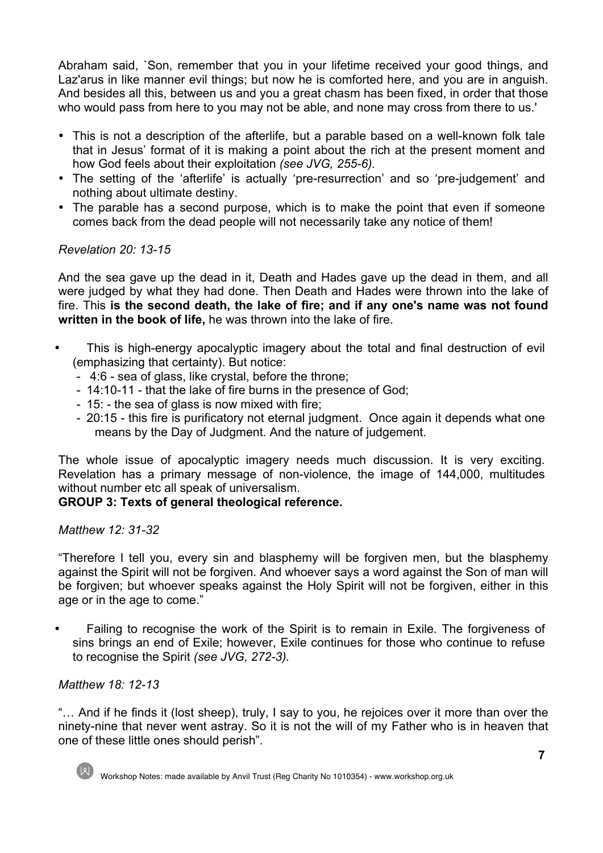Abraham said, `Son, remember that you in your lifetime received your good things, and Laz'arus in like manner evil things; but now he is comforted here, and you are in anguish. And besides all this, between us and you a great chasm has been fixed, in order that those who would pass from here to you may not be able, and none may cross from there to us.'

- This is not a description of the afterlife, but a parable based on a well-known folk tale that in Jesus' format of it is making a point about the rich at the present moment and how God feels about their exploitation *(see JVG, 255-6).*
- The setting of the 'afterlife' is actually 'pre-resurrection' and so 'pre-judgement' and nothing about ultimate destiny.
- The parable has a second purpose, which is to make the point that even if someone comes back from the dead people will not necessarily take any notice of them!

## *Revelation 20: 13-15*

And the sea gave up the dead in it, Death and Hades gave up the dead in them, and all were judged by what they had done. Then Death and Hades were thrown into the lake of fire. This **is the second death, the lake of fire; and if any one's name was not found written in the book of life,** he was thrown into the lake of fire.

- This is high-energy apocalyptic imagery about the total and final destruction of evil (emphasizing that certainty). But notice:
	- 4:6 sea of glass, like crystal, before the throne;
	- 14:10-11 that the lake of fire burns in the presence of God;
	- 15: the sea of glass is now mixed with fire;
	- 20:15 this fire is purificatory not eternal judgment. Once again it depends what one means by the Day of Judgment. And the nature of judgement.

The whole issue of apocalyptic imagery needs much discussion. It is very exciting. Revelation has a primary message of non-violence, the image of 144,000, multitudes without number etc all speak of universalism.

# **GROUP 3: Texts of general theological reference.**

#### *Matthew 12: 31-32*

"Therefore I tell you, every sin and blasphemy will be forgiven men, but the blasphemy against the Spirit will not be forgiven. And whoever says a word against the Son of man will be forgiven; but whoever speaks against the Holy Spirit will not be forgiven, either in this age or in the age to come."

• Failing to recognise the work of the Spirit is to remain in Exile. The forgiveness of sins brings an end of Exile; however, Exile continues for those who continue to refuse to recognise the Spirit *(see JVG, 272-3).*

#### *Matthew 18: 12-13*

"… And if he finds it (lost sheep), truly, I say to you, he rejoices over it more than over the ninety-nine that never went astray. So it is not the will of my Father who is in heaven that one of these little ones should perish".

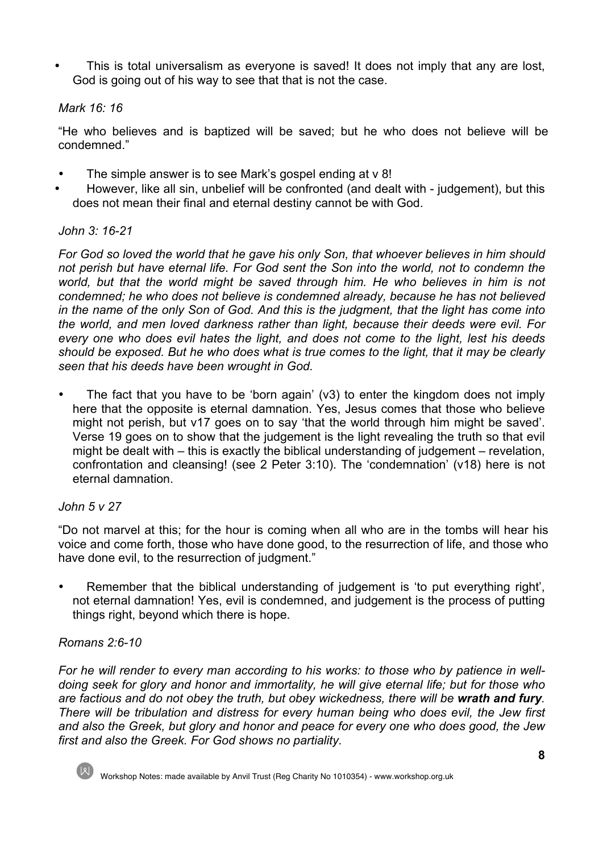This is total universalism as everyone is saved! It does not imply that any are lost, God is going out of his way to see that that is not the case.

## *Mark 16: 16*

"He who believes and is baptized will be saved; but he who does not believe will be condemned."

- The simple answer is to see Mark's gospel ending at v 8!
- However, like all sin, unbelief will be confronted (and dealt with judgement), but this does not mean their final and eternal destiny cannot be with God.

## *John 3: 16-21*

*For God so loved the world that he gave his only Son, that whoever believes in him should not perish but have eternal life. For God sent the Son into the world, not to condemn the*  world, but that the world might be saved through him. He who believes in him is not *condemned; he who does not believe is condemned already, because he has not believed in the name of the only Son of God. And this is the judgment, that the light has come into the world, and men loved darkness rather than light, because their deeds were evil. For every one who does evil hates the light, and does not come to the light, lest his deeds should be exposed. But he who does what is true comes to the light, that it may be clearly seen that his deeds have been wrought in God.*

• The fact that you have to be 'born again' (v3) to enter the kingdom does not imply here that the opposite is eternal damnation. Yes, Jesus comes that those who believe might not perish, but v17 goes on to say 'that the world through him might be saved'. Verse 19 goes on to show that the judgement is the light revealing the truth so that evil might be dealt with – this is exactly the biblical understanding of judgement – revelation, confrontation and cleansing! (see 2 Peter 3:10). The 'condemnation' (v18) here is not eternal damnation.

#### *John 5 v 27*

"Do not marvel at this; for the hour is coming when all who are in the tombs will hear his voice and come forth, those who have done good, to the resurrection of life, and those who have done evil, to the resurrection of judgment."

• Remember that the biblical understanding of judgement is 'to put everything right', not eternal damnation! Yes, evil is condemned, and judgement is the process of putting things right, beyond which there is hope.

# *Romans 2:6-10*

*For he will render to every man according to his works: to those who by patience in welldoing seek for glory and honor and immortality, he will give eternal life; but for those who are factious and do not obey the truth, but obey wickedness, there will be wrath and fury. There will be tribulation and distress for every human being who does evil, the Jew first and also the Greek, but glory and honor and peace for every one who does good, the Jew first and also the Greek. For God shows no partiality.* 

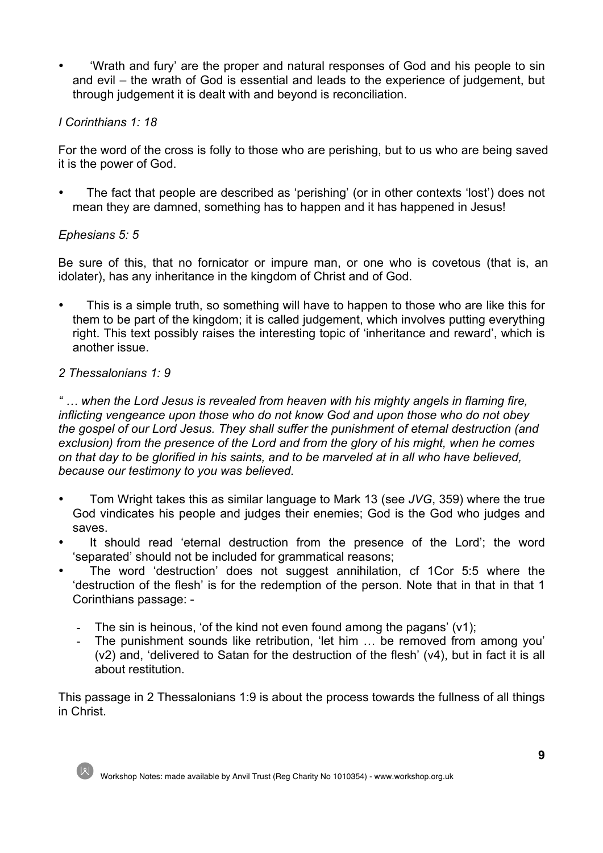• 'Wrath and fury' are the proper and natural responses of God and his people to sin and evil – the wrath of God is essential and leads to the experience of judgement, but through judgement it is dealt with and beyond is reconciliation.

## *I Corinthians 1: 18*

For the word of the cross is folly to those who are perishing, but to us who are being saved it is the power of God.

• The fact that people are described as 'perishing' (or in other contexts 'lost') does not mean they are damned, something has to happen and it has happened in Jesus!

## *Ephesians 5: 5*

Be sure of this, that no fornicator or impure man, or one who is covetous (that is, an idolater), has any inheritance in the kingdom of Christ and of God.

• This is a simple truth, so something will have to happen to those who are like this for them to be part of the kingdom; it is called judgement, which involves putting everything right. This text possibly raises the interesting topic of 'inheritance and reward', which is another issue.

## *2 Thessalonians 1: 9*

*" … when the Lord Jesus is revealed from heaven with his mighty angels in flaming fire, inflicting vengeance upon those who do not know God and upon those who do not obey the gospel of our Lord Jesus. They shall suffer the punishment of eternal destruction (and exclusion) from the presence of the Lord and from the glory of his might, when he comes on that day to be glorified in his saints, and to be marveled at in all who have believed, because our testimony to you was believed.*

- Tom Wright takes this as similar language to Mark 13 (see *JVG*, 359) where the true God vindicates his people and judges their enemies; God is the God who judges and saves.
- It should read 'eternal destruction from the presence of the Lord'; the word 'separated' should not be included for grammatical reasons;
- The word 'destruction' does not suggest annihilation, cf 1Cor 5:5 where the 'destruction of the flesh' is for the redemption of the person. Note that in that in that 1 Corinthians passage: -
	- The sin is heinous, 'of the kind not even found among the pagans' (v1);
	- The punishment sounds like retribution, 'let him ... be removed from among you' (v2) and, 'delivered to Satan for the destruction of the flesh' (v4), but in fact it is all about restitution.

This passage in 2 Thessalonians 1:9 is about the process towards the fullness of all things in Christ.



Workshop Notes: made available by Anvil Trust (Reg Charity No 1010354) - www.workshop.org.uk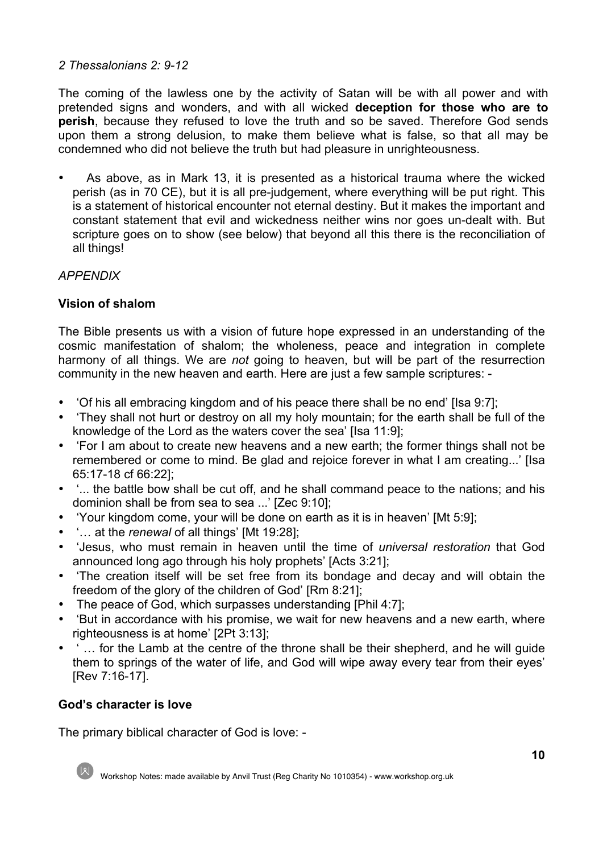# *2 Thessalonians 2: 9-12*

The coming of the lawless one by the activity of Satan will be with all power and with pretended signs and wonders, and with all wicked **deception for those who are to perish**, because they refused to love the truth and so be saved. Therefore God sends upon them a strong delusion, to make them believe what is false, so that all may be condemned who did not believe the truth but had pleasure in unrighteousness.

• As above, as in Mark 13, it is presented as a historical trauma where the wicked perish (as in 70 CE), but it is all pre-judgement, where everything will be put right. This is a statement of historical encounter not eternal destiny. But it makes the important and constant statement that evil and wickedness neither wins nor goes un-dealt with. But scripture goes on to show (see below) that beyond all this there is the reconciliation of all things!

# *APPENDIX*

# **Vision of shalom**

The Bible presents us with a vision of future hope expressed in an understanding of the cosmic manifestation of shalom; the wholeness, peace and integration in complete harmony of all things. We are *not* going to heaven, but will be part of the resurrection community in the new heaven and earth. Here are just a few sample scriptures: -

- 'Of his all embracing kingdom and of his peace there shall be no end' [Isa 9:7];
- 'They shall not hurt or destroy on all my holy mountain; for the earth shall be full of the knowledge of the Lord as the waters cover the sea' [Isa 11:9];
- 'For I am about to create new heavens and a new earth; the former things shall not be remembered or come to mind. Be glad and rejoice forever in what I am creating...' [Isa 65:17-18 cf 66:22];
- '... the battle bow shall be cut off, and he shall command peace to the nations; and his dominion shall be from sea to sea ...' [Zec 9:10];
- 'Your kingdom come, your will be done on earth as it is in heaven' [Mt 5:9];
- '… at the *renewal* of all things' [Mt 19:28];
- 'Jesus, who must remain in heaven until the time of *universal restoration* that God announced long ago through his holy prophets' [Acts 3:21];
- 'The creation itself will be set free from its bondage and decay and will obtain the freedom of the glory of the children of God' [Rm 8:21];
- The peace of God, which surpasses understanding [Phil 4:7];
- 'But in accordance with his promise, we wait for new heavens and a new earth, where righteousness is at home' [2Pt 3:13];
- ' … for the Lamb at the centre of the throne shall be their shepherd, and he will guide them to springs of the water of life, and God will wipe away every tear from their eyes' [Rev 7:16-17].

# **God's character is love**

The primary biblical character of God is love: -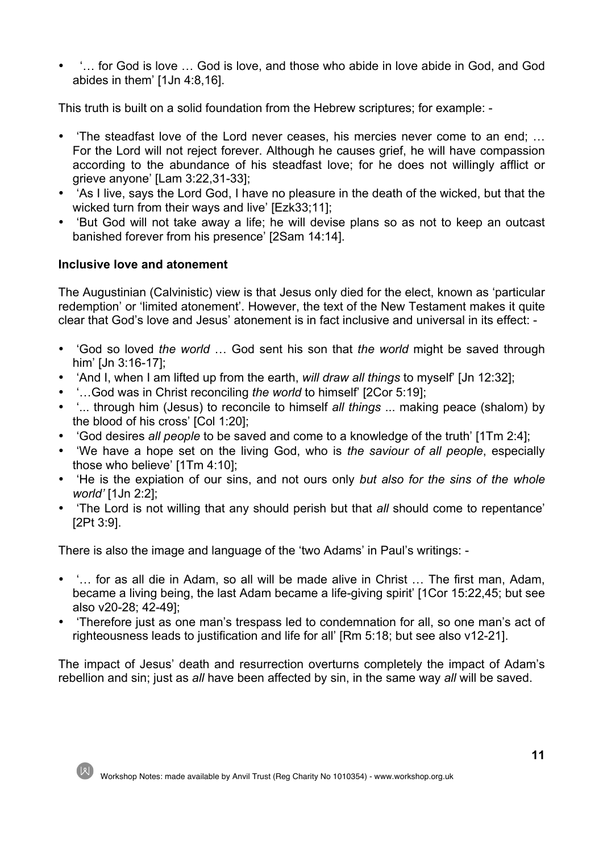• '… for God is love … God is love, and those who abide in love abide in God, and God abides in them' [1Jn 4:8,16].

This truth is built on a solid foundation from the Hebrew scriptures; for example: -

- 'The steadfast love of the Lord never ceases, his mercies never come to an end; … For the Lord will not reject forever. Although he causes grief, he will have compassion according to the abundance of his steadfast love; for he does not willingly afflict or grieve anyone' [Lam 3:22,31-33];
- 'As I live, says the Lord God, I have no pleasure in the death of the wicked, but that the wicked turn from their ways and live' [Ezk33;11];
- 'But God will not take away a life; he will devise plans so as not to keep an outcast banished forever from his presence' [2Sam 14:14].

# **Inclusive love and atonement**

The Augustinian (Calvinistic) view is that Jesus only died for the elect, known as 'particular redemption' or 'limited atonement'. However, the text of the New Testament makes it quite clear that God's love and Jesus' atonement is in fact inclusive and universal in its effect: -

- 'God so loved *the world* … God sent his son that *the world* might be saved through him' [Jn 3:16-17];
- 'And I, when I am lifted up from the earth, *will draw all things* to myself' [Jn 12:32];
- '…God was in Christ reconciling *the world* to himself' [2Cor 5:19];
- '... through him (Jesus) to reconcile to himself *all things* ... making peace (shalom) by the blood of his cross' [Col 1:20];
- 'God desires *all people* to be saved and come to a knowledge of the truth' [1Tm 2:4];
- 'We have a hope set on the living God, who is *the saviour of all people*, especially those who believe' [1Tm 4:10];
- 'He is the expiation of our sins, and not ours only *but also for the sins of the whole world'* [1Jn 2:2];
- 'The Lord is not willing that any should perish but that *all* should come to repentance' [2Pt 3:9].

There is also the image and language of the 'two Adams' in Paul's writings: -

- '… for as all die in Adam, so all will be made alive in Christ … The first man, Adam, became a living being, the last Adam became a life-giving spirit' [1Cor 15:22,45; but see also v20-28; 42-49];
- 'Therefore just as one man's trespass led to condemnation for all, so one man's act of righteousness leads to justification and life for all' [Rm 5:18; but see also v12-21].

The impact of Jesus' death and resurrection overturns completely the impact of Adam's rebellion and sin; just as *all* have been affected by sin, in the same way *all* will be saved.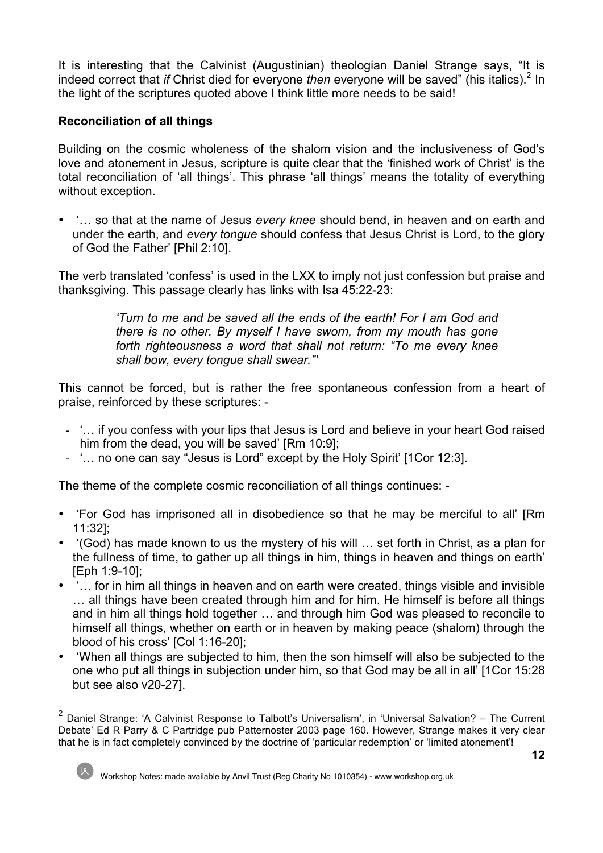It is interesting that the Calvinist (Augustinian) theologian Daniel Strange says, "It is indeed correct that *if* Christ died for everyone *then* everyone will be saved" (his italics).<sup>2</sup> In the light of the scriptures quoted above I think little more needs to be said!

# **Reconciliation of all things**

Building on the cosmic wholeness of the shalom vision and the inclusiveness of God's love and atonement in Jesus, scripture is quite clear that the 'finished work of Christ' is the total reconciliation of 'all things'. This phrase 'all things' means the totality of everything without exception.

• '… so that at the name of Jesus *every knee* should bend, in heaven and on earth and under the earth, and *every tongue* should confess that Jesus Christ is Lord, to the glory of God the Father' [Phil 2:10].

The verb translated 'confess' is used in the LXX to imply not just confession but praise and thanksgiving. This passage clearly has links with Isa 45:22-23:

> *'Turn to me and be saved all the ends of the earth! For I am God and there is no other. By myself I have sworn, from my mouth has gone forth righteousness a word that shall not return: "To me every knee shall bow, every tongue shall swear."'*

This cannot be forced, but is rather the free spontaneous confession from a heart of praise, reinforced by these scriptures: -

- '… if you confess with your lips that Jesus is Lord and believe in your heart God raised him from the dead, you will be saved' [Rm 10:9];
- '… no one can say "Jesus is Lord" except by the Holy Spirit' [1Cor 12:3].

The theme of the complete cosmic reconciliation of all things continues: -

- 'For God has imprisoned all in disobedience so that he may be merciful to all' [Rm 11:32];
- '(God) has made known to us the mystery of his will … set forth in Christ, as a plan for the fullness of time, to gather up all things in him, things in heaven and things on earth' [Eph 1:9-10];
- '… for in him all things in heaven and on earth were created, things visible and invisible … all things have been created through him and for him. He himself is before all things and in him all things hold together … and through him God was pleased to reconcile to himself all things, whether on earth or in heaven by making peace (shalom) through the blood of his cross' [Col 1:16-20];
- 'When all things are subjected to him, then the son himself will also be subjected to the one who put all things in subjection under him, so that God may be all in all' [1Cor 15:28 but see also v20-27].

 $2$  Daniel Strange: 'A Calvinist Response to Talbott's Universalism', in 'Universal Salvation? – The Current Debate' Ed R Parry & C Partridge pub Patternoster 2003 page 160. However, Strange makes it very clear that he is in fact completely convinced by the doctrine of 'particular redemption' or 'limited atonement'!



Workshop Notes: made available by Anvil Trust (Reg Charity No 1010354) - www.workshop.org.uk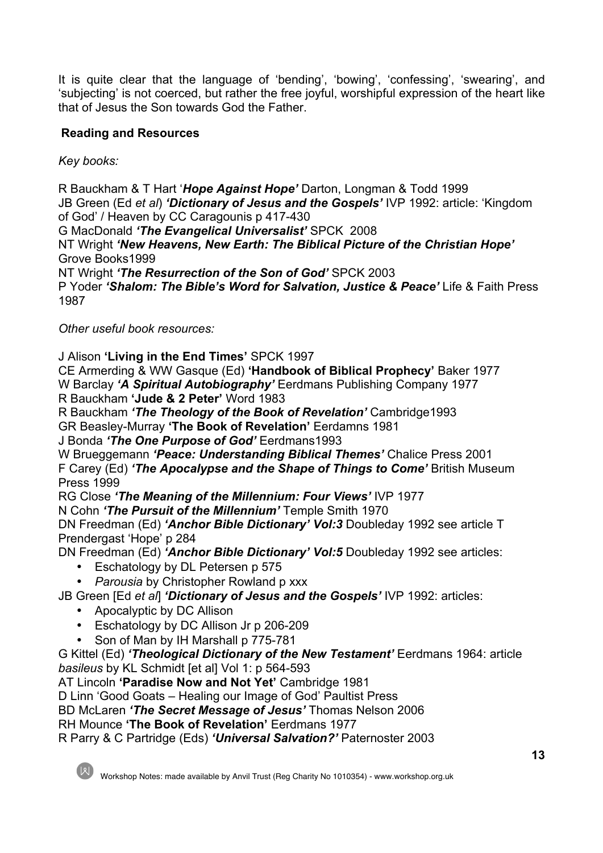It is quite clear that the language of 'bending', 'bowing', 'confessing', 'swearing', and 'subjecting' is not coerced, but rather the free joyful, worshipful expression of the heart like that of Jesus the Son towards God the Father.

# **Reading and Resources**

*Key books:*

R Bauckham & T Hart '*Hope Against Hope'* Darton, Longman & Todd 1999 JB Green (Ed *et al*) *'Dictionary of Jesus and the Gospels'* IVP 1992: article: 'Kingdom of God' / Heaven by CC Caragounis p 417-430

G MacDonald *'The Evangelical Universalist'* SPCK 2008

NT Wright *'New Heavens, New Earth: The Biblical Picture of the Christian Hope'* Grove Books1999

NT Wright *'The Resurrection of the Son of God'* SPCK 2003

P Yoder *'Shalom: The Bible's Word for Salvation, Justice & Peace'* Life & Faith Press 1987

*Other useful book resources:*

J Alison **'Living in the End Times'** SPCK 1997

CE Armerding & WW Gasque (Ed) **'Handbook of Biblical Prophecy'** Baker 1977 W Barclay *'A Spiritual Autobiography'* Eerdmans Publishing Company 1977 R Bauckham **'Jude & 2 Peter'** Word 1983

R Bauckham *'The Theology of the Book of Revelation'* Cambridge1993 GR Beasley-Murray **'The Book of Revelation'** Eerdamns 1981

J Bonda *'The One Purpose of God'* Eerdmans1993

W Brueggemann *'Peace: Understanding Biblical Themes'* Chalice Press 2001 F Carey (Ed) *'The Apocalypse and the Shape of Things to Come'* British Museum Press 1999

RG Close *'The Meaning of the Millennium: Four Views'* IVP 1977

N Cohn *'The Pursuit of the Millennium'* Temple Smith 1970

DN Freedman (Ed) *'Anchor Bible Dictionary' Vol:3* Doubleday 1992 see article T Prendergast 'Hope' p 284

DN Freedman (Ed) *'Anchor Bible Dictionary' Vol:5* Doubleday 1992 see articles:

Eschatology by DL Petersen p 575

• *Parousia* by Christopher Rowland p xxx

JB Green [Ed *et al*] *'Dictionary of Jesus and the Gospels'* IVP 1992: articles:

- Apocalyptic by DC Allison
- Eschatology by DC Allison Jr p 206-209
- Son of Man by IH Marshall p 775-781

G Kittel (Ed) *'Theological Dictionary of the New Testament'* Eerdmans 1964: article *basileus* by KL Schmidt [et al] Vol 1: p 564-593

AT Lincoln **'Paradise Now and Not Yet'** Cambridge 1981

D Linn 'Good Goats – Healing our Image of God' Paultist Press

BD McLaren *'The Secret Message of Jesus'* Thomas Nelson 2006

RH Mounce **'The Book of Revelation'** Eerdmans 1977

R Parry & C Partridge (Eds) *'Universal Salvation?'* Paternoster 2003